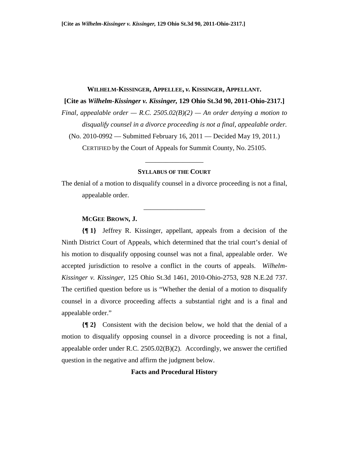#### **WILHELM-KISSINGER, APPELLEE,** *v.* **KISSINGER, APPELLANT.**

## **[Cite as** *Wilhelm-Kissinger v. Kissinger,* **129 Ohio St.3d 90, 2011-Ohio-2317.]**

*Final, appealable order — R.C.* 2505.02( $B$ )(2) — An order denying a motion to *disqualify counsel in a divorce proceeding is not a final, appealable order.* 

(No. 2010-0992 — Submitted February 16, 2011 — Decided May 19, 2011.)

CERTIFIED by the Court of Appeals for Summit County, No. 25105.

\_\_\_\_\_\_\_\_\_\_\_\_\_\_\_\_\_

#### **SYLLABUS OF THE COURT**

The denial of a motion to disqualify counsel in a divorce proceeding is not a final, appealable order.

\_\_\_\_\_\_\_\_\_\_\_\_\_\_\_\_\_\_

## **MCGEE BROWN, J.**

**{¶ 1}** Jeffrey R. Kissinger, appellant, appeals from a decision of the Ninth District Court of Appeals, which determined that the trial court's denial of his motion to disqualify opposing counsel was not a final, appealable order. We accepted jurisdiction to resolve a conflict in the courts of appeals. *Wilhelm-Kissinger v. Kissinger*, 125 Ohio St.3d 1461, 2010-Ohio-2753, 928 N.E.2d 737. The certified question before us is "Whether the denial of a motion to disqualify counsel in a divorce proceeding affects a substantial right and is a final and appealable order."

**{¶ 2}** Consistent with the decision below, we hold that the denial of a motion to disqualify opposing counsel in a divorce proceeding is not a final, appealable order under R.C. 2505.02(B)(2). Accordingly, we answer the certified question in the negative and affirm the judgment below.

## **Facts and Procedural History**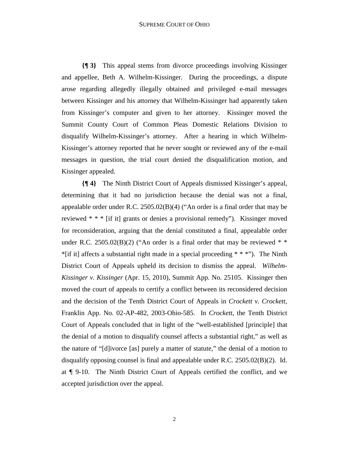**{¶ 3}** This appeal stems from divorce proceedings involving Kissinger and appellee, Beth A. Wilhelm-Kissinger. During the proceedings, a dispute arose regarding allegedly illegally obtained and privileged e-mail messages between Kissinger and his attorney that Wilhelm-Kissinger had apparently taken from Kissinger's computer and given to her attorney. Kissinger moved the Summit County Court of Common Pleas Domestic Relations Division to disqualify Wilhelm-Kissinger's attorney. After a hearing in which Wilhelm-Kissinger's attorney reported that he never sought or reviewed any of the e-mail messages in question, the trial court denied the disqualification motion, and Kissinger appealed.

**{¶ 4}** The Ninth District Court of Appeals dismissed Kissinger's appeal, determining that it had no jurisdiction because the denial was not a final, appealable order under R.C. 2505.02(B)(4) ("An order is a final order that may be reviewed \* \* \* [if it] grants or denies a provisional remedy"). Kissinger moved for reconsideration, arguing that the denial constituted a final, appealable order under R.C. 2505.02(B)(2) ("An order is a final order that may be reviewed  $*$  $*$ [if it] affects a substantial right made in a special proceeding  $* * *$ "). The Ninth District Court of Appeals upheld its decision to dismiss the appeal. *Wilhelm-Kissinger v. Kissinger* (Apr. 15, 2010), Summit App. No. 25105. Kissinger then moved the court of appeals to certify a conflict between its reconsidered decision and the decision of the Tenth District Court of Appeals in *Crockett v. Crockett*, Franklin App. No. 02-AP-482, 2003-Ohio-585. In *Crockett*, the Tenth District Court of Appeals concluded that in light of the "well-established [principle] that the denial of a motion to disqualify counsel affects a substantial right," as well as the nature of "[d]ivorce [as] purely a matter of statute," the denial of a motion to disqualify opposing counsel is final and appealable under R.C. 2505.02(B)(2). Id. at ¶ 9-10. The Ninth District Court of Appeals certified the conflict, and we accepted jurisdiction over the appeal.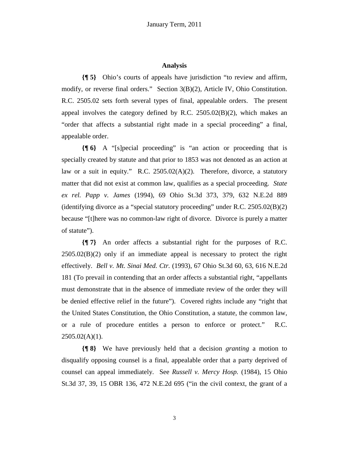### **Analysis**

**{¶ 5}** Ohio's courts of appeals have jurisdiction "to review and affirm, modify, or reverse final orders." Section 3(B)(2), Article IV, Ohio Constitution. R.C. 2505.02 sets forth several types of final, appealable orders. The present appeal involves the category defined by R.C.  $2505.02(B)(2)$ , which makes an "order that affects a substantial right made in a special proceeding" a final, appealable order.

**{¶ 6}** A "[s]pecial proceeding" is "an action or proceeding that is specially created by statute and that prior to 1853 was not denoted as an action at law or a suit in equity." R.C. 2505.02(A)(2). Therefore, divorce, a statutory matter that did not exist at common law, qualifies as a special proceeding. *State ex rel. Papp v. James* (1994), 69 Ohio St.3d 373, 379, 632 N.E.2d 889 (identifying divorce as a "special statutory proceeding" under R.C. 2505.02(B)(2) because "[t]here was no common-law right of divorce. Divorce is purely a matter of statute").

**{¶ 7}** An order affects a substantial right for the purposes of R.C.  $2505.02(B)(2)$  only if an immediate appeal is necessary to protect the right effectively. *Bell v. Mt. Sinai Med. Ctr.* (1993), 67 Ohio St.3d 60, 63, 616 N.E.2d 181 (To prevail in contending that an order affects a substantial right, "appellants must demonstrate that in the absence of immediate review of the order they will be denied effective relief in the future"). Covered rights include any "right that the United States Constitution, the Ohio Constitution, a statute, the common law, or a rule of procedure entitles a person to enforce or protect." R.C.  $2505.02(A)(1)$ .

**{¶ 8}** We have previously held that a decision *granting* a motion to disqualify opposing counsel is a final, appealable order that a party deprived of counsel can appeal immediately. See *Russell v. Mercy Hosp.* (1984), 15 Ohio St.3d 37, 39, 15 OBR 136, 472 N.E.2d 695 ("in the civil context, the grant of a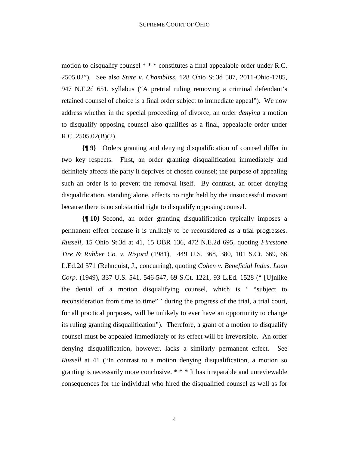motion to disqualify counsel \* \* \* constitutes a final appealable order under R.C. 2505.02"). See also *State v. Chambliss*, 128 Ohio St.3d 507, 2011-Ohio-1785, 947 N.E.2d 651, syllabus ("A pretrial ruling removing a criminal defendant's retained counsel of choice is a final order subject to immediate appeal"). We now address whether in the special proceeding of divorce, an order *denying* a motion to disqualify opposing counsel also qualifies as a final, appealable order under R.C. 2505.02(B)(2).

**{¶ 9}** Orders granting and denying disqualification of counsel differ in two key respects. First, an order granting disqualification immediately and definitely affects the party it deprives of chosen counsel; the purpose of appealing such an order is to prevent the removal itself. By contrast, an order denying disqualification, standing alone, affects no right held by the unsuccessful movant because there is no substantial right to disqualify opposing counsel.

**{¶ 10}** Second, an order granting disqualification typically imposes a permanent effect because it is unlikely to be reconsidered as a trial progresses. *Russell*, 15 Ohio St.3d at 41, 15 OBR 136, 472 N.E.2d 695, quoting *Firestone Tire & Rubber Co. v. Risjord* (1981), 449 U.S. 368, 380, 101 S.Ct. 669, 66 L.Ed.2d 571 (Rehnquist, J., concurring), quoting *Cohen v. Beneficial Indus. Loan Corp.* (1949), 337 U.S. 541, 546-547, 69 S.Ct. 1221, 93 L.Ed. 1528 (" [U]nlike the denial of a motion disqualifying counsel, which is ' "subject to reconsideration from time to time" ' during the progress of the trial, a trial court, for all practical purposes, will be unlikely to ever have an opportunity to change its ruling granting disqualification"). Therefore, a grant of a motion to disqualify counsel must be appealed immediately or its effect will be irreversible. An order denying disqualification, however, lacks a similarly permanent effect. See *Russell* at 41 ("In contrast to a motion denying disqualification, a motion so granting is necessarily more conclusive. \* \* \* It has irreparable and unreviewable consequences for the individual who hired the disqualified counsel as well as for